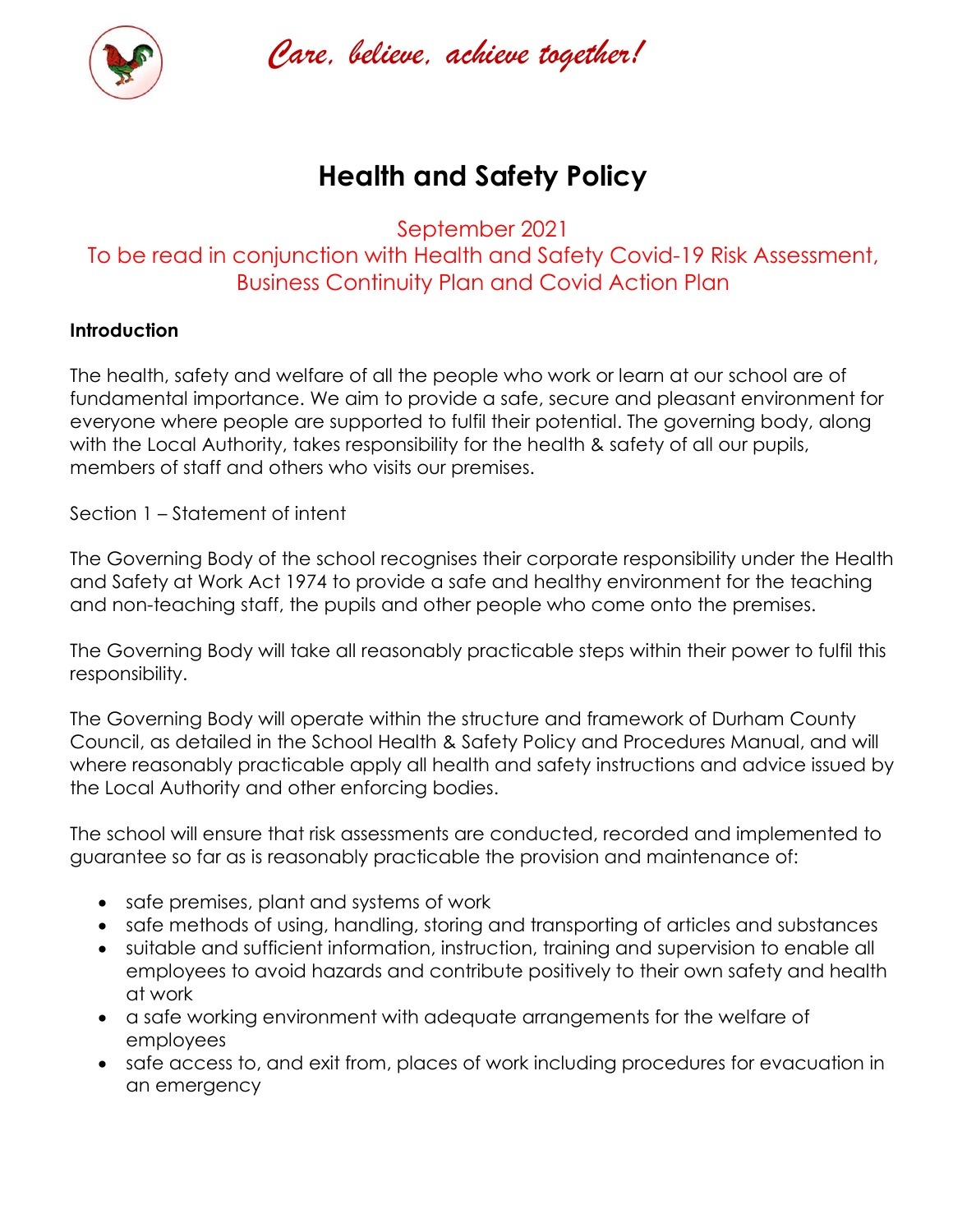

*Care, believe, achieve together!* 

# **Health and Safety Policy**

September 2021 To be read in conjunction with Health and Safety Covid-19 Risk Assessment, Business Continuity Plan and Covid Action Plan

# **Introduction**

The health, safety and welfare of all the people who work or learn at our school are of fundamental importance. We aim to provide a safe, secure and pleasant environment for everyone where people are supported to fulfil their potential. The governing body, along with the Local Authority, takes responsibility for the health & safety of all our pupils, members of staff and others who visits our premises.

Section 1 – Statement of intent

The Governing Body of the school recognises their corporate responsibility under the Health and Safety at Work Act 1974 to provide a safe and healthy environment for the teaching and non-teaching staff, the pupils and other people who come onto the premises.

The Governing Body will take all reasonably practicable steps within their power to fulfil this responsibility.

The Governing Body will operate within the structure and framework of Durham County Council, as detailed in the School Health & Safety Policy and Procedures Manual, and will where reasonably practicable apply all health and safety instructions and advice issued by the Local Authority and other enforcing bodies.

The school will ensure that risk assessments are conducted, recorded and implemented to guarantee so far as is reasonably practicable the provision and maintenance of:

- safe premises, plant and systems of work
- safe methods of using, handling, storing and transporting of articles and substances
- suitable and sufficient information, instruction, training and supervision to enable all employees to avoid hazards and contribute positively to their own safety and health at work
- a safe working environment with adequate arrangements for the welfare of employees
- safe access to, and exit from, places of work including procedures for evacuation in an emergency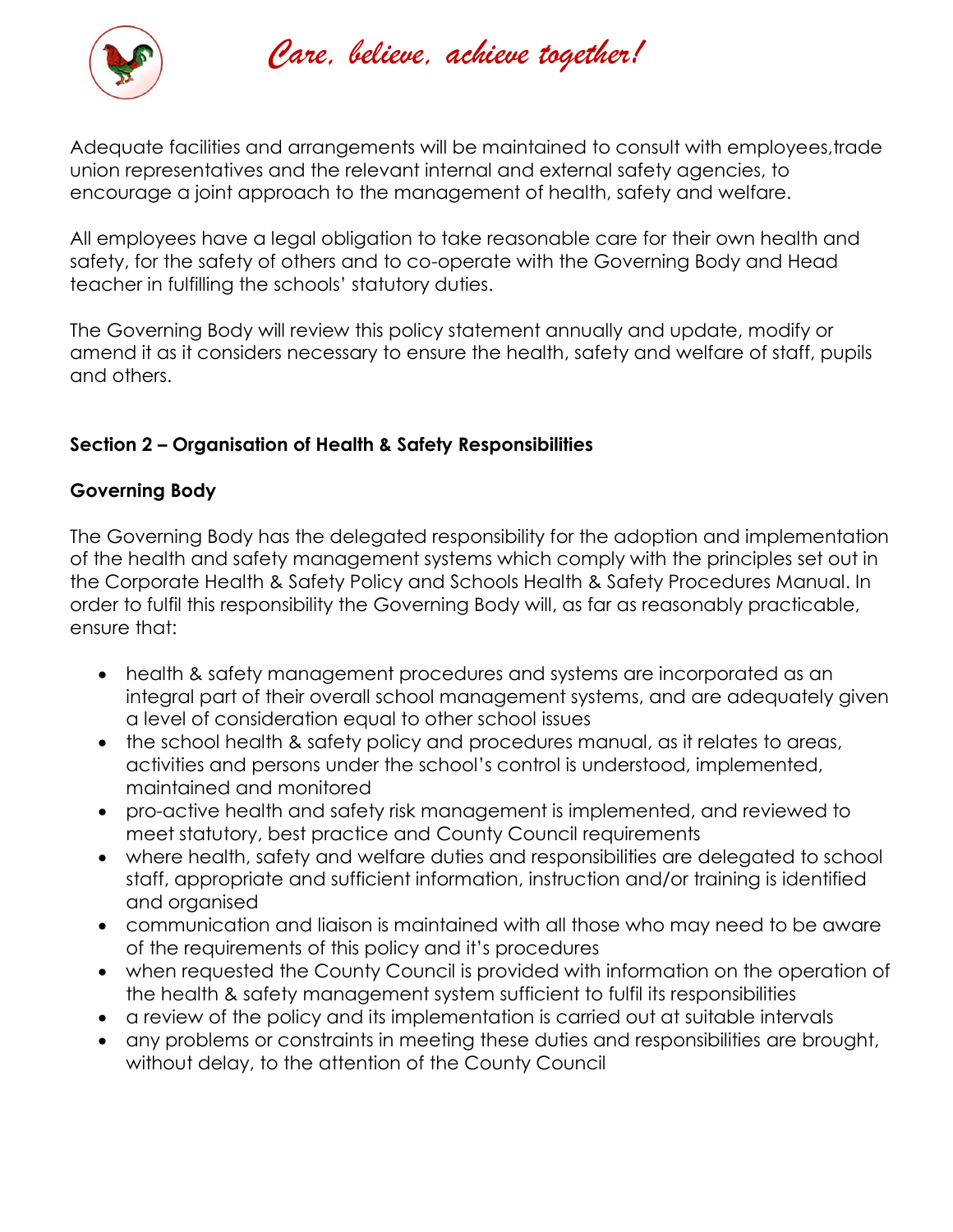

*Care, believe, achieve together!* 

Adequate facilities and arrangements will be maintained to consult with employees,trade union representatives and the relevant internal and external safety agencies, to encourage a joint approach to the management of health, safety and welfare.

All employees have a legal obligation to take reasonable care for their own health and safety, for the safety of others and to co-operate with the Governing Body and Head teacher in fulfilling the schools' statutory duties.

The Governing Body will review this policy statement annually and update, modify or amend it as it considers necessary to ensure the health, safety and welfare of staff, pupils and others.

# **Section 2 – Organisation of Health & Safety Responsibilities**

# **Governing Body**

The Governing Body has the delegated responsibility for the adoption and implementation of the health and safety management systems which comply with the principles set out in the Corporate Health & Safety Policy and Schools Health & Safety Procedures Manual. In order to fulfil this responsibility the Governing Body will, as far as reasonably practicable, ensure that:

- health & safety management procedures and systems are incorporated as an integral part of their overall school management systems, and are adequately given a level of consideration equal to other school issues
- the school health & safety policy and procedures manual, as it relates to areas, activities and persons under the school's control is understood, implemented, maintained and monitored
- pro-active health and safety risk management is implemented, and reviewed to meet statutory, best practice and County Council requirements
- where health, safety and welfare duties and responsibilities are delegated to school staff, appropriate and sufficient information, instruction and/or training is identified and organised
- communication and liaison is maintained with all those who may need to be aware of the requirements of this policy and it's procedures
- when requested the County Council is provided with information on the operation of the health & safety management system sufficient to fulfil its responsibilities
- a review of the policy and its implementation is carried out at suitable intervals
- any problems or constraints in meeting these duties and responsibilities are brought, without delay, to the attention of the County Council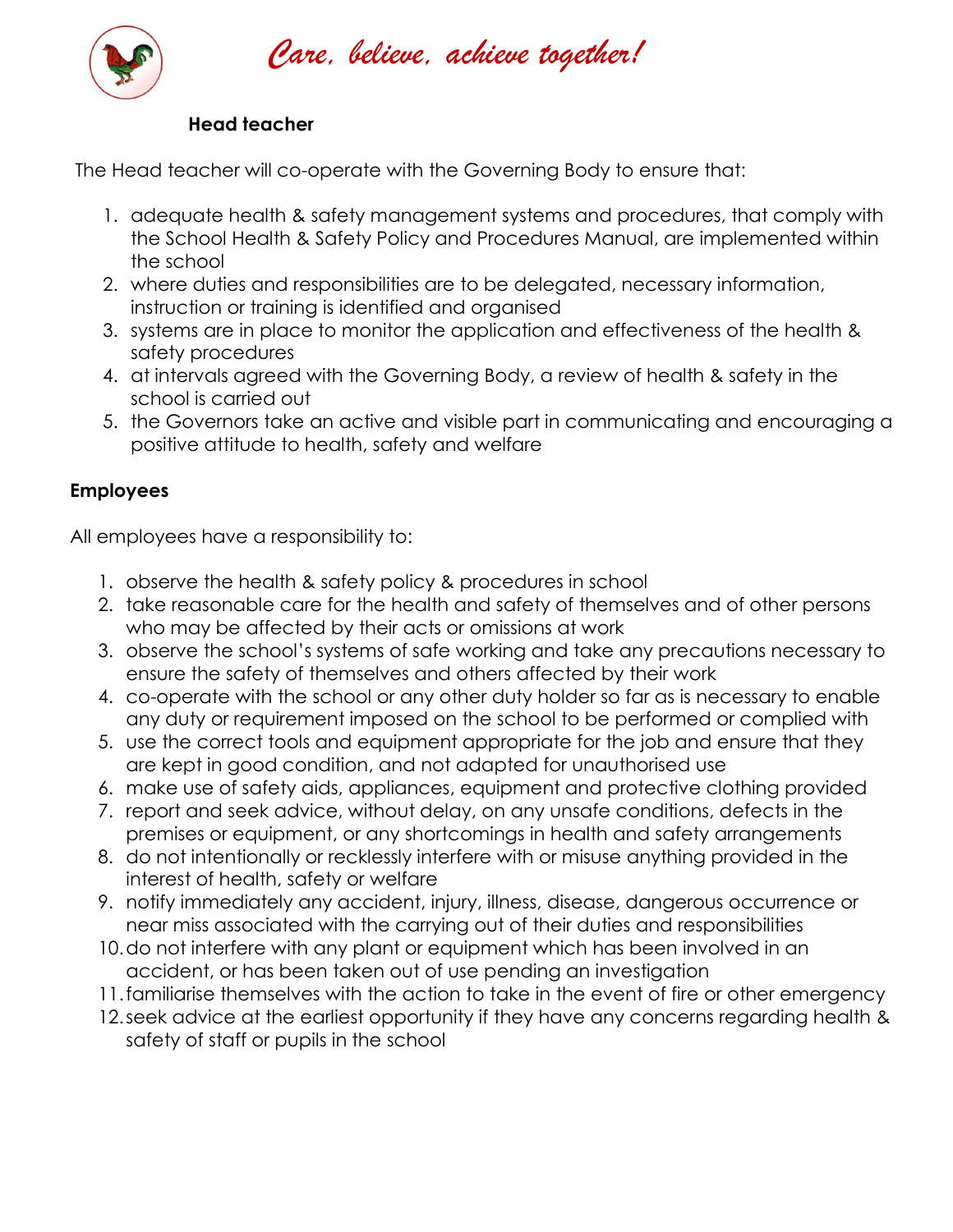

*Care, believe, achieve together!* 

#### **Head teacher**

The Head teacher will co-operate with the Governing Body to ensure that:

- 1. adequate health & safety management systems and procedures, that comply with the School Health & Safety Policy and Procedures Manual, are implemented within the school
- 2. where duties and responsibilities are to be delegated, necessary information, instruction or training is identified and organised
- 3. systems are in place to monitor the application and effectiveness of the health & safety procedures
- 4. at intervals agreed with the Governing Body, a review of health & safety in the school is carried out
- 5. the Governors take an active and visible part in communicating and encouraging a positive attitude to health, safety and welfare

# **Employees**

All employees have a responsibility to:

- 1. observe the health & safety policy & procedures in school
- 2. take reasonable care for the health and safety of themselves and of other persons who may be affected by their acts or omissions at work
- 3. observe the school's systems of safe working and take any precautions necessary to ensure the safety of themselves and others affected by their work
- 4. co-operate with the school or any other duty holder so far as is necessary to enable any duty or requirement imposed on the school to be performed or complied with
- 5. use the correct tools and equipment appropriate for the job and ensure that they are kept in good condition, and not adapted for unauthorised use
- 6. make use of safety aids, appliances, equipment and protective clothing provided
- 7. report and seek advice, without delay, on any unsafe conditions, defects in the premises or equipment, or any shortcomings in health and safety arrangements
- 8. do not intentionally or recklessly interfere with or misuse anything provided in the interest of health, safety or welfare
- 9. notify immediately any accident, injury, illness, disease, dangerous occurrence or near miss associated with the carrying out of their duties and responsibilities
- 10.do not interfere with any plant or equipment which has been involved in an accident, or has been taken out of use pending an investigation
- 11.familiarise themselves with the action to take in the event of fire or other emergency
- 12.seek advice at the earliest opportunity if they have any concerns regarding health & safety of staff or pupils in the school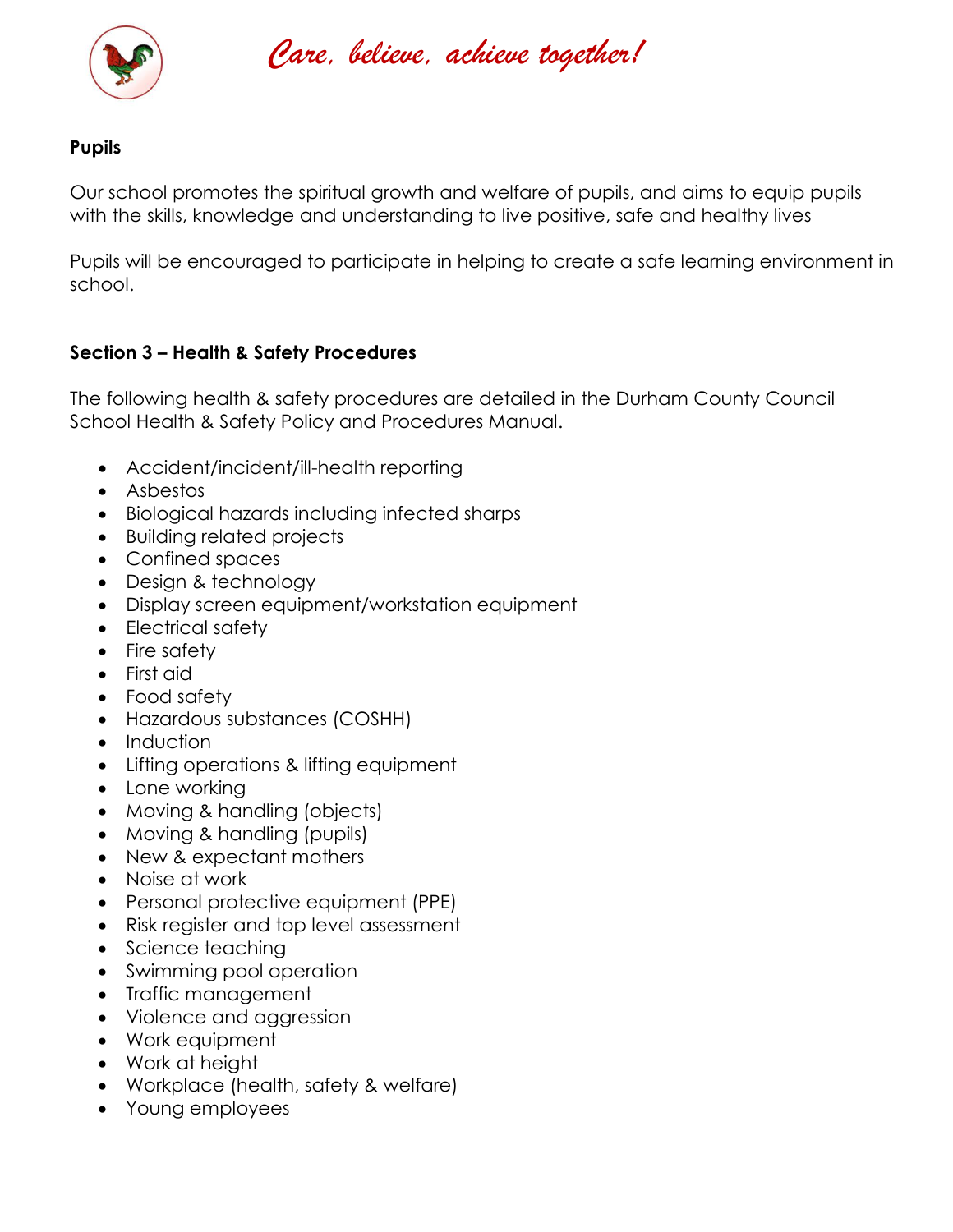

*Care, believe, achieve together!* 

#### **Pupils**

Our school promotes the spiritual growth and welfare of pupils, and aims to equip pupils with the skills, knowledge and understanding to live positive, safe and healthy lives

Pupils will be encouraged to participate in helping to create a safe learning environment in school.

# **Section 3 – Health & Safety Procedures**

The following health & safety procedures are detailed in the Durham County Council School Health & Safety Policy and Procedures Manual.

- Accident/incident/ill-health reporting
- Asbestos
- Biological hazards including infected sharps
- Building related projects
- Confined spaces
- Design & technology
- Display screen equipment/workstation equipment
- Electrical safety
- Fire safety
- First aid
- Food safety
- Hazardous substances (COSHH)
- Induction
- Lifting operations & lifting equipment
- Lone working
- Moving & handling (objects)
- Moving & handling (pupils)
- New & expectant mothers
- Noise at work
- Personal protective equipment (PPE)
- Risk register and top level assessment
- Science teaching
- Swimming pool operation
- Traffic management
- Violence and aggression
- Work equipment
- Work at height
- Workplace (health, safety & welfare)
- Young employees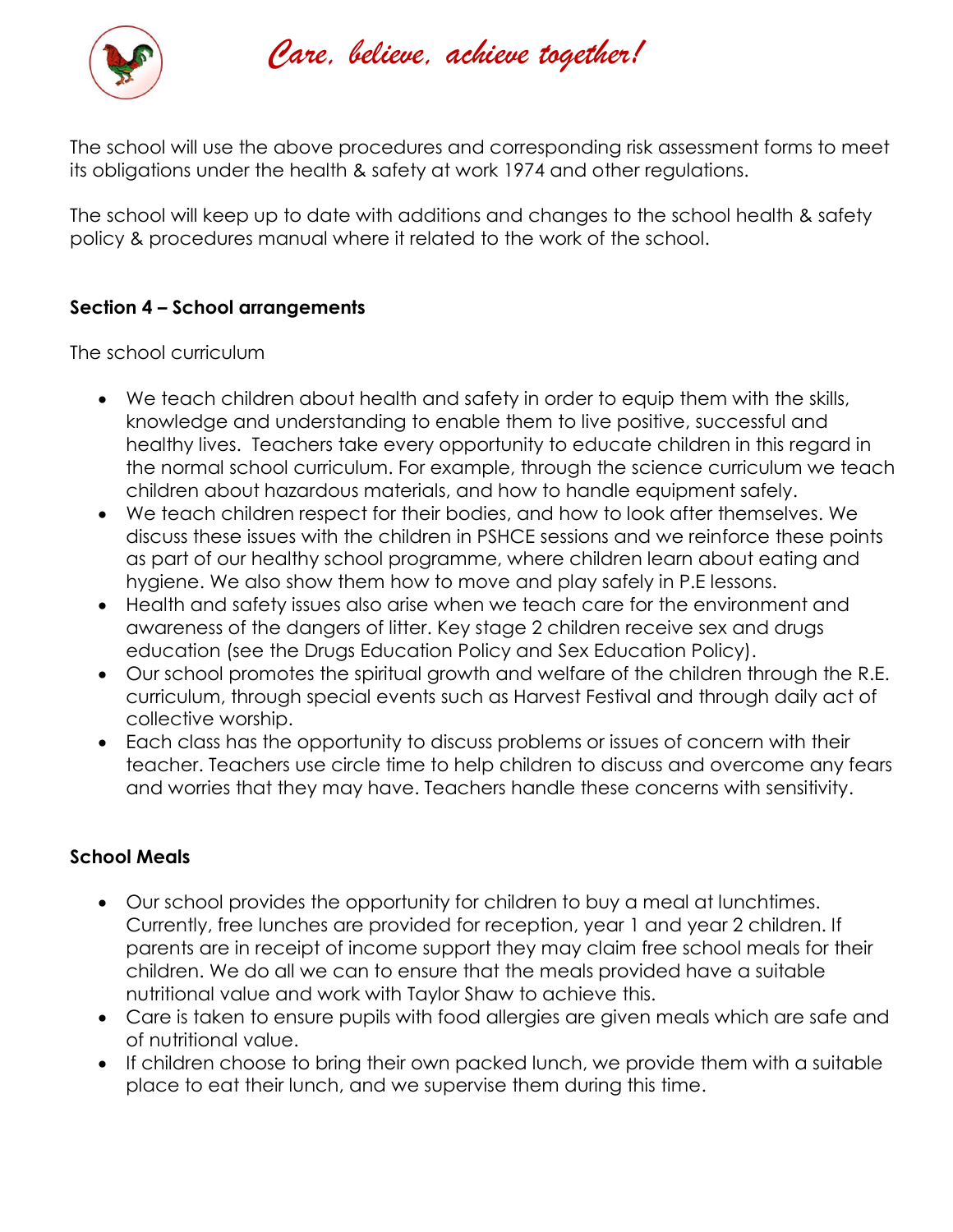

*Care, believe, achieve together!* 

The school will use the above procedures and corresponding risk assessment forms to meet its obligations under the health & safety at work 1974 and other regulations.

The school will keep up to date with additions and changes to the school health & safety policy & procedures manual where it related to the work of the school.

# **Section 4 – School arrangements**

The school curriculum

- We teach children about health and safety in order to equip them with the skills, knowledge and understanding to enable them to live positive, successful and healthy lives. Teachers take every opportunity to educate children in this regard in the normal school curriculum. For example, through the science curriculum we teach children about hazardous materials, and how to handle equipment safely.
- We teach children respect for their bodies, and how to look after themselves. We discuss these issues with the children in PSHCE sessions and we reinforce these points as part of our healthy school programme, where children learn about eating and hygiene. We also show them how to move and play safely in P.E lessons.
- Health and safety issues also arise when we teach care for the environment and awareness of the dangers of litter. Key stage 2 children receive sex and drugs education (see the Drugs Education Policy and Sex Education Policy).
- Our school promotes the spiritual growth and welfare of the children through the R.E. curriculum, through special events such as Harvest Festival and through daily act of collective worship.
- Each class has the opportunity to discuss problems or issues of concern with their teacher. Teachers use circle time to help children to discuss and overcome any fears and worries that they may have. Teachers handle these concerns with sensitivity.

# **School Meals**

- Our school provides the opportunity for children to buy a meal at lunchtimes. Currently, free lunches are provided for reception, year 1 and year 2 children. If parents are in receipt of income support they may claim free school meals for their children. We do all we can to ensure that the meals provided have a suitable nutritional value and work with Taylor Shaw to achieve this.
- Care is taken to ensure pupils with food allergies are given meals which are safe and of nutritional value.
- If children choose to bring their own packed lunch, we provide them with a suitable place to eat their lunch, and we supervise them during this time.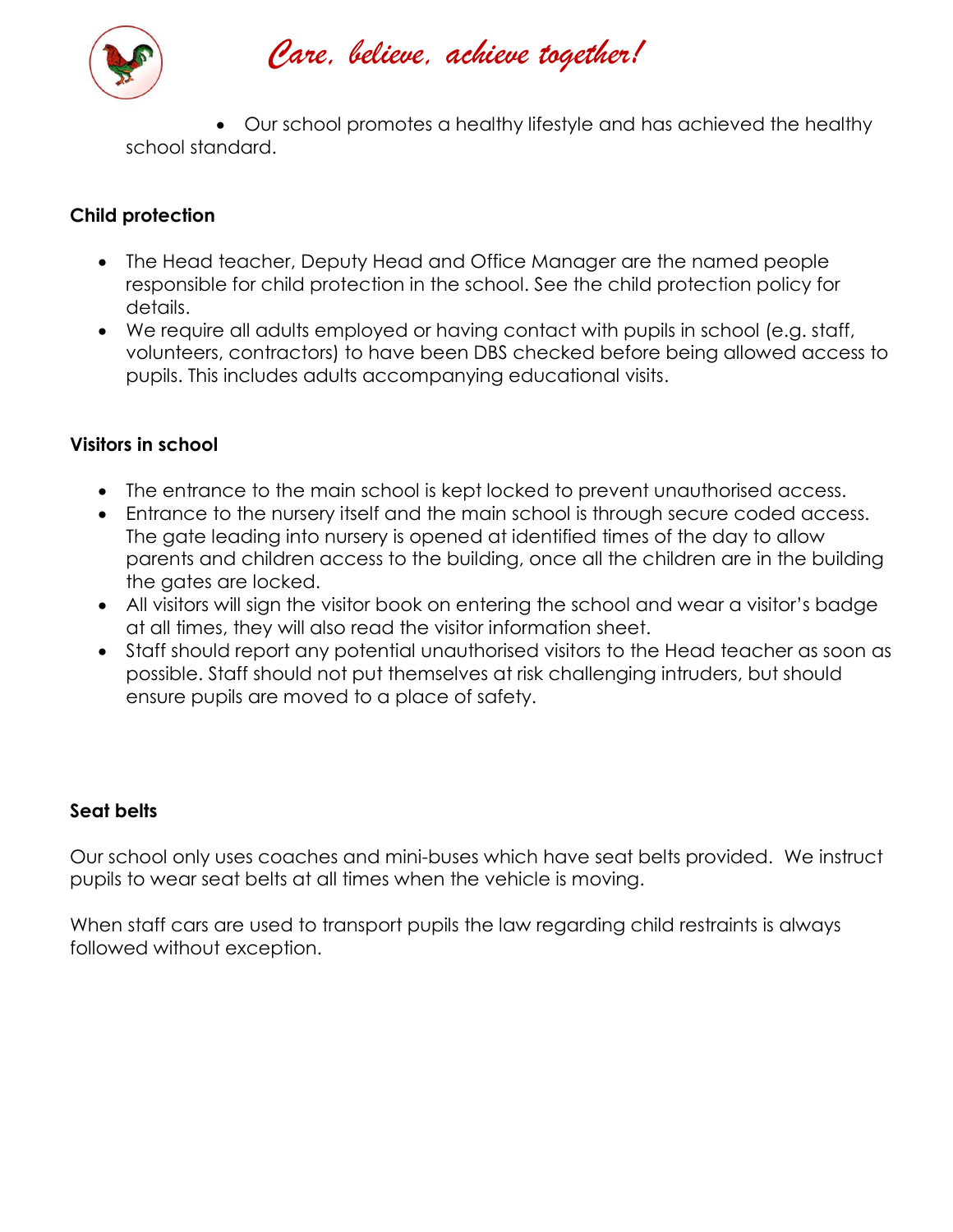

# *Care, believe, achieve together!*

• Our school promotes a healthy lifestyle and has achieved the healthy school standard.

# **Child protection**

- The Head teacher, Deputy Head and Office Manager are the named people responsible for child protection in the school. See the child protection policy for details.
- We require all adults employed or having contact with pupils in school (e.g. staff, volunteers, contractors) to have been DBS checked before being allowed access to pupils. This includes adults accompanying educational visits.

# **Visitors in school**

- The entrance to the main school is kept locked to prevent unauthorised access.
- Entrance to the nursery itself and the main school is through secure coded access. The gate leading into nursery is opened at identified times of the day to allow parents and children access to the building, once all the children are in the building the gates are locked.
- All visitors will sign the visitor book on entering the school and wear a visitor's badge at all times, they will also read the visitor information sheet.
- Staff should report any potential unauthorised visitors to the Head teacher as soon as possible. Staff should not put themselves at risk challenging intruders, but should ensure pupils are moved to a place of safety.

# **Seat belts**

Our school only uses coaches and mini-buses which have seat belts provided. We instruct pupils to wear seat belts at all times when the vehicle is moving.

When staff cars are used to transport pupils the law regarding child restraints is always followed without exception.